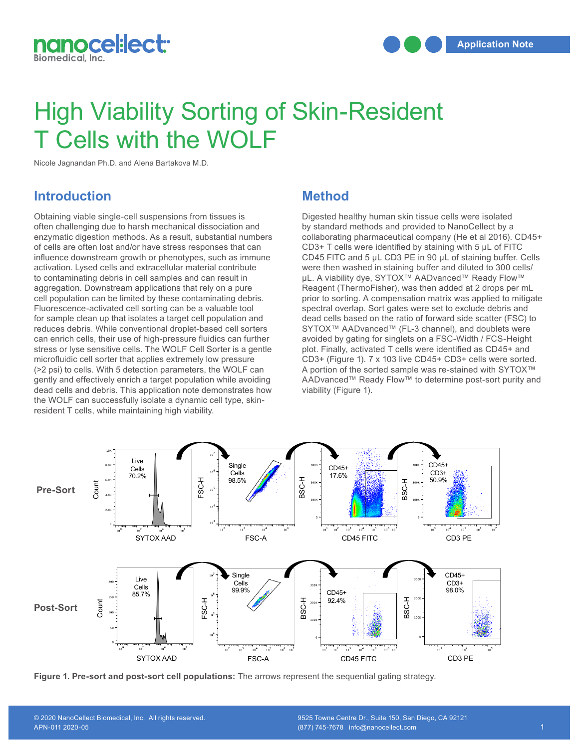

# High Viability Sorting of Skin-Resident T Cells with the WOLF

Nicole Jagnandan Ph.D. and Alena Bartakova M.D.

#### **Introduction**

Obtaining viable single-cell suspensions from tissues is often challenging due to harsh mechanical dissociation and enzymatic digestion methods. As a result, substantial numbers of cells are often lost and/or have stress responses that can influence downstream growth or phenotypes, such as immune activation. Lysed cells and extracellular material contribute to contaminating debris in cell samples and can result in aggregation. Downstream applications that rely on a pure cell population can be limited by these contaminating debris. Fluorescence-activated cell sorting can be a valuable tool for sample clean up that isolates a target cell population and reduces debris. While conventional droplet-based cell sorters can enrich cells, their use of high-pressure fluidics can further stress or lyse sensitive cells. The WOLF Cell Sorter is a gentle microfluidic cell sorter that applies extremely low pressure (>2 psi) to cells. With 5 detection parameters, the WOLF can gently and effectively enrich a target population while avoiding dead cells and debris. This application note demonstrates how the WOLF can successfully isolate a dynamic cell type, skinresident T cells, while maintaining high viability.

#### **Method**

Digested healthy human skin tissue cells were isolated by standard methods and provided to NanoCellect by a collaborating pharmaceutical company (He et al 2016). CD45+ CD3+ T cells were identified by staining with 5 μL of FITC CD45 FITC and 5 μL CD3 PE in 90 μL of staining buffer. Cells were then washed in staining buffer and diluted to 300 cells/ μL. A viability dye, SYTOX™ AADvanced™ Ready Flow™ Reagent (ThermoFisher), was then added at 2 drops per mL prior to sorting. A compensation matrix was applied to mitigate spectral overlap. Sort gates were set to exclude debris and dead cells based on the ratio of forward side scatter (FSC) to SYTOX<sup>™</sup> AADvanced<sup>™</sup> (FL-3 channel), and doublets were avoided by gating for singlets on a FSC-Width / FCS-Height plot. Finally, activated T cells were identified as CD45+ and CD3+ (Figure 1). 7 x 103 live CD45+ CD3+ cells were sorted. A portion of the sorted sample was re-stained with SYTOX™ AADvanced™ Ready Flow™ to determine post-sort purity and viability (Figure 1).



**Figure 1. Pre-sort and post-sort cell populations:** The arrows represent the sequential gating strategy. **1 Strictly Confidential** © Copyright 2019 NanoCellect Biomedical. All rights reserved.